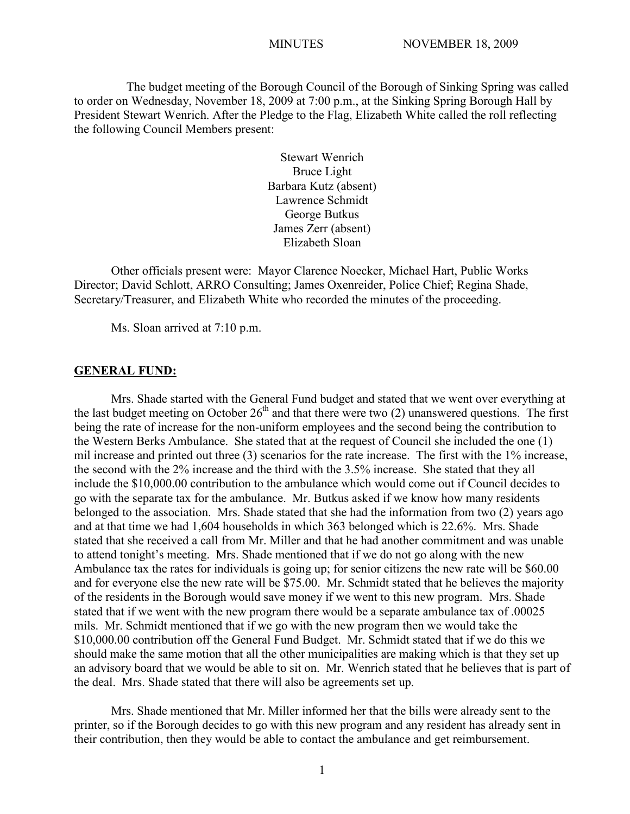The budget meeting of the Borough Council of the Borough of Sinking Spring was called to order on Wednesday, November 18, 2009 at 7:00 p.m., at the Sinking Spring Borough Hall by President Stewart Wenrich. After the Pledge to the Flag, Elizabeth White called the roll reflecting the following Council Members present:

> Stewart Wenrich Bruce Light Barbara Kutz (absent) Lawrence Schmidt George Butkus James Zerr (absent) Elizabeth Sloan

Other officials present were: Mayor Clarence Noecker, Michael Hart, Public Works Director; David Schlott, ARRO Consulting; James Oxenreider, Police Chief; Regina Shade, Secretary/Treasurer, and Elizabeth White who recorded the minutes of the proceeding.

Ms. Sloan arrived at 7:10 p.m.

#### **GENERAL FUND:**

Mrs. Shade started with the General Fund budget and stated that we went over everything at the last budget meeting on October  $26<sup>th</sup>$  and that there were two (2) unanswered questions. The first being the rate of increase for the non-uniform employees and the second being the contribution to the Western Berks Ambulance. She stated that at the request of Council she included the one (1) mil increase and printed out three (3) scenarios for the rate increase. The first with the 1% increase, the second with the 2% increase and the third with the 3.5% increase. She stated that they all include the \$10,000.00 contribution to the ambulance which would come out if Council decides to go with the separate tax for the ambulance. Mr. Butkus asked if we know how many residents belonged to the association. Mrs. Shade stated that she had the information from two (2) years ago and at that time we had 1,604 households in which 363 belonged which is 22.6%. Mrs. Shade stated that she received a call from Mr. Miller and that he had another commitment and was unable to attend tonight's meeting. Mrs. Shade mentioned that if we do not go along with the new Ambulance tax the rates for individuals is going up; for senior citizens the new rate will be \$60.00 and for everyone else the new rate will be \$75.00. Mr. Schmidt stated that he believes the majority of the residents in the Borough would save money if we went to this new program. Mrs. Shade stated that if we went with the new program there would be a separate ambulance tax of .00025 mils. Mr. Schmidt mentioned that if we go with the new program then we would take the \$10,000.00 contribution off the General Fund Budget. Mr. Schmidt stated that if we do this we should make the same motion that all the other municipalities are making which is that they set up an advisory board that we would be able to sit on. Mr. Wenrich stated that he believes that is part of the deal. Mrs. Shade stated that there will also be agreements set up.

Mrs. Shade mentioned that Mr. Miller informed her that the bills were already sent to the printer, so if the Borough decides to go with this new program and any resident has already sent in their contribution, then they would be able to contact the ambulance and get reimbursement.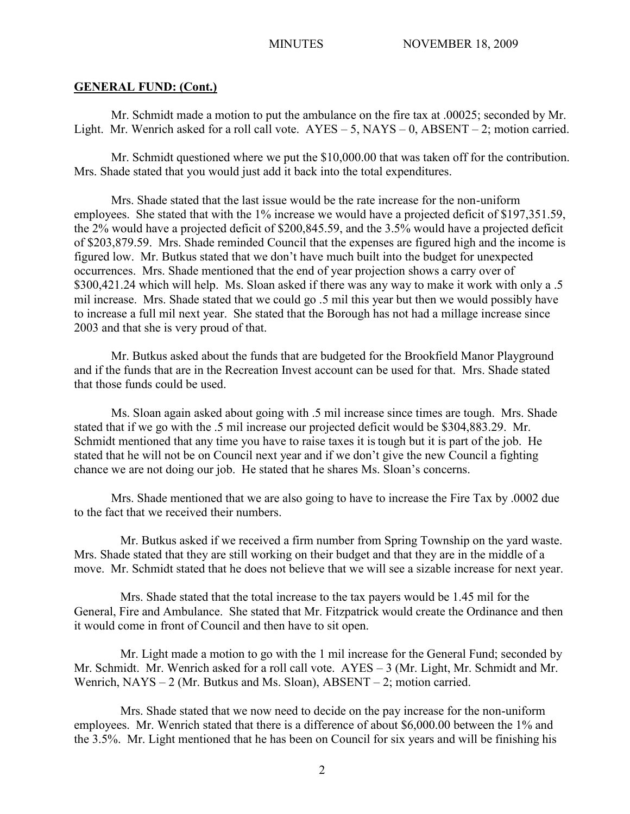## **GENERAL FUND: (Cont.)**

Mr. Schmidt made a motion to put the ambulance on the fire tax at .00025; seconded by Mr. Light. Mr. Wenrich asked for a roll call vote.  $AYES - 5$ ,  $NAYS - 0$ ,  $ABSENT - 2$ ; motion carried.

Mr. Schmidt questioned where we put the \$10,000.00 that was taken off for the contribution. Mrs. Shade stated that you would just add it back into the total expenditures.

Mrs. Shade stated that the last issue would be the rate increase for the non-uniform employees. She stated that with the 1% increase we would have a projected deficit of \$197,351.59, the 2% would have a projected deficit of \$200,845.59, and the 3.5% would have a projected deficit of \$203,879.59. Mrs. Shade reminded Council that the expenses are figured high and the income is figured low. Mr. Butkus stated that we don't have much built into the budget for unexpected occurrences. Mrs. Shade mentioned that the end of year projection shows a carry over of \$300,421.24 which will help. Ms. Sloan asked if there was any way to make it work with only a .5 mil increase. Mrs. Shade stated that we could go .5 mil this year but then we would possibly have to increase a full mil next year. She stated that the Borough has not had a millage increase since 2003 and that she is very proud of that.

Mr. Butkus asked about the funds that are budgeted for the Brookfield Manor Playground and if the funds that are in the Recreation Invest account can be used for that. Mrs. Shade stated that those funds could be used.

Ms. Sloan again asked about going with .5 mil increase since times are tough. Mrs. Shade stated that if we go with the .5 mil increase our projected deficit would be \$304,883.29. Mr. Schmidt mentioned that any time you have to raise taxes it is tough but it is part of the job. He stated that he will not be on Council next year and if we don't give the new Council a fighting chance we are not doing our job. He stated that he shares Ms. Sloan's concerns.

Mrs. Shade mentioned that we are also going to have to increase the Fire Tax by .0002 due to the fact that we received their numbers.

Mr. Butkus asked if we received a firm number from Spring Township on the yard waste. Mrs. Shade stated that they are still working on their budget and that they are in the middle of a move. Mr. Schmidt stated that he does not believe that we will see a sizable increase for next year.

Mrs. Shade stated that the total increase to the tax payers would be 1.45 mil for the General, Fire and Ambulance. She stated that Mr. Fitzpatrick would create the Ordinance and then it would come in front of Council and then have to sit open.

Mr. Light made a motion to go with the 1 mil increase for the General Fund; seconded by Mr. Schmidt. Mr. Wenrich asked for a roll call vote. AYES – 3 (Mr. Light, Mr. Schmidt and Mr. Wenrich, NAYS – 2 (Mr. Butkus and Ms. Sloan), ABSENT – 2; motion carried.

Mrs. Shade stated that we now need to decide on the pay increase for the non-uniform employees. Mr. Wenrich stated that there is a difference of about \$6,000.00 between the 1% and the 3.5%. Mr. Light mentioned that he has been on Council for six years and will be finishing his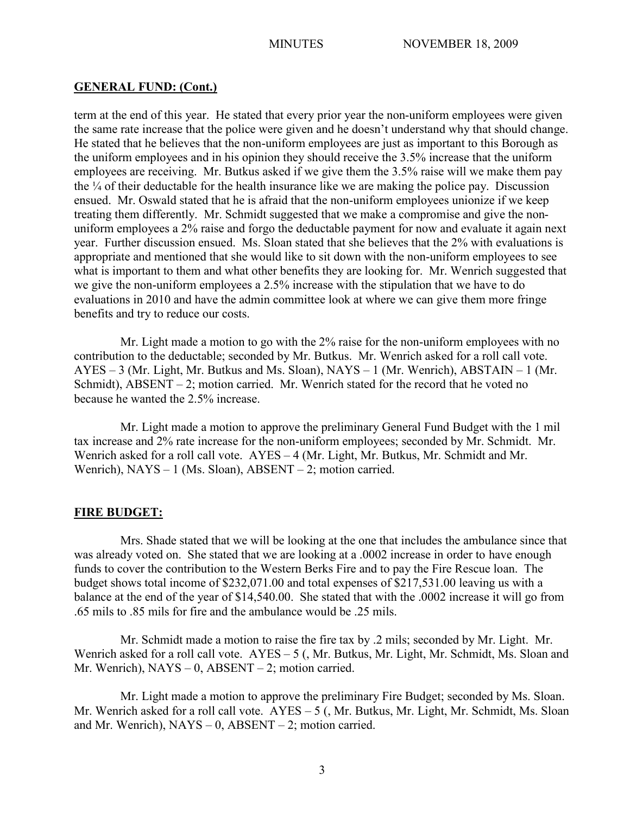## **GENERAL FUND: (Cont.)**

term at the end of this year. He stated that every prior year the non-uniform employees were given the same rate increase that the police were given and he doesn't understand why that should change. He stated that he believes that the non-uniform employees are just as important to this Borough as the uniform employees and in his opinion they should receive the 3.5% increase that the uniform employees are receiving. Mr. Butkus asked if we give them the 3.5% raise will we make them pay the  $\frac{1}{4}$  of their deductable for the health insurance like we are making the police pay. Discussion ensued. Mr. Oswald stated that he is afraid that the non-uniform employees unionize if we keep treating them differently. Mr. Schmidt suggested that we make a compromise and give the nonuniform employees a 2% raise and forgo the deductable payment for now and evaluate it again next year. Further discussion ensued. Ms. Sloan stated that she believes that the 2% with evaluations is appropriate and mentioned that she would like to sit down with the non-uniform employees to see what is important to them and what other benefits they are looking for. Mr. Wenrich suggested that we give the non-uniform employees a 2.5% increase with the stipulation that we have to do evaluations in 2010 and have the admin committee look at where we can give them more fringe benefits and try to reduce our costs.

Mr. Light made a motion to go with the 2% raise for the non-uniform employees with no contribution to the deductable; seconded by Mr. Butkus. Mr. Wenrich asked for a roll call vote. AYES – 3 (Mr. Light, Mr. Butkus and Ms. Sloan), NAYS – 1 (Mr. Wenrich), ABSTAIN – 1 (Mr. Schmidt), ABSENT – 2; motion carried. Mr. Wenrich stated for the record that he voted no because he wanted the 2.5% increase.

Mr. Light made a motion to approve the preliminary General Fund Budget with the 1 mil tax increase and 2% rate increase for the non-uniform employees; seconded by Mr. Schmidt. Mr. Wenrich asked for a roll call vote. AYES – 4 (Mr. Light, Mr. Butkus, Mr. Schmidt and Mr. Wenrich), NAYS – 1 (Ms. Sloan), ABSENT – 2; motion carried.

#### **FIRE BUDGET:**

Mrs. Shade stated that we will be looking at the one that includes the ambulance since that was already voted on. She stated that we are looking at a .0002 increase in order to have enough funds to cover the contribution to the Western Berks Fire and to pay the Fire Rescue loan. The budget shows total income of \$232,071.00 and total expenses of \$217,531.00 leaving us with a balance at the end of the year of \$14,540.00. She stated that with the .0002 increase it will go from .65 mils to .85 mils for fire and the ambulance would be .25 mils.

Mr. Schmidt made a motion to raise the fire tax by .2 mils; seconded by Mr. Light. Mr. Wenrich asked for a roll call vote. AYES – 5 (, Mr. Butkus, Mr. Light, Mr. Schmidt, Ms. Sloan and Mr. Wenrich),  $NAYS - 0$ ,  $ABSENT - 2$ ; motion carried.

Mr. Light made a motion to approve the preliminary Fire Budget; seconded by Ms. Sloan. Mr. Wenrich asked for a roll call vote. AYES – 5 (, Mr. Butkus, Mr. Light, Mr. Schmidt, Ms. Sloan and Mr. Wenrich),  $NAYS - 0$ ,  $ABSENT - 2$ ; motion carried.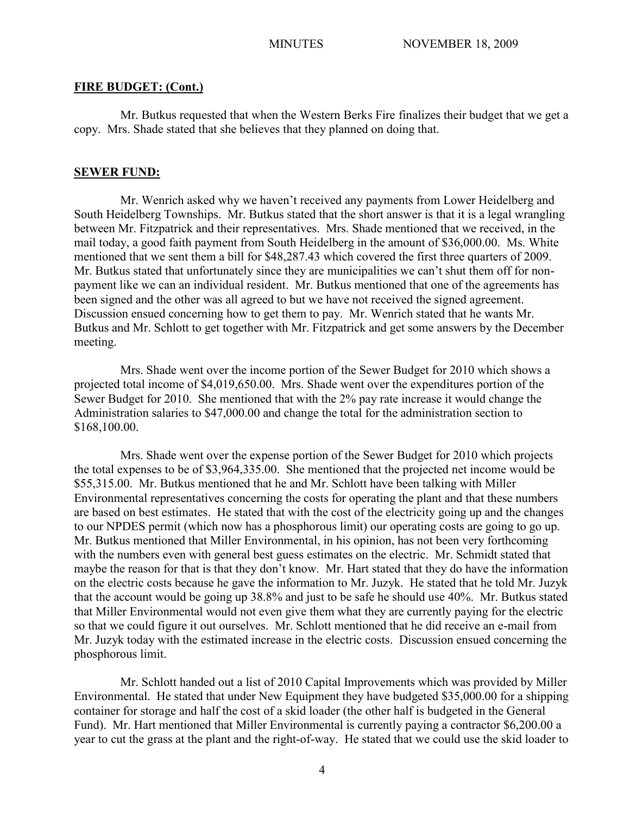## **FIRE BUDGET: (Cont.)**

Mr. Butkus requested that when the Western Berks Fire finalizes their budget that we get a copy. Mrs. Shade stated that she believes that they planned on doing that.

### **SEWER FUND:**

Mr. Wenrich asked why we haven't received any payments from Lower Heidelberg and South Heidelberg Townships. Mr. Butkus stated that the short answer is that it is a legal wrangling between Mr. Fitzpatrick and their representatives. Mrs. Shade mentioned that we received, in the mail today, a good faith payment from South Heidelberg in the amount of \$36,000.00. Ms. White mentioned that we sent them a bill for \$48,287.43 which covered the first three quarters of 2009. Mr. Butkus stated that unfortunately since they are municipalities we can't shut them off for nonpayment like we can an individual resident. Mr. Butkus mentioned that one of the agreements has been signed and the other was all agreed to but we have not received the signed agreement. Discussion ensued concerning how to get them to pay. Mr. Wenrich stated that he wants Mr. Butkus and Mr. Schlott to get together with Mr. Fitzpatrick and get some answers by the December meeting.

Mrs. Shade went over the income portion of the Sewer Budget for 2010 which shows a projected total income of \$4,019,650.00. Mrs. Shade went over the expenditures portion of the Sewer Budget for 2010. She mentioned that with the 2% pay rate increase it would change the Administration salaries to \$47,000.00 and change the total for the administration section to \$168,100.00.

Mrs. Shade went over the expense portion of the Sewer Budget for 2010 which projects the total expenses to be of \$3,964,335.00. She mentioned that the projected net income would be \$55,315.00. Mr. Butkus mentioned that he and Mr. Schlott have been talking with Miller Environmental representatives concerning the costs for operating the plant and that these numbers are based on best estimates. He stated that with the cost of the electricity going up and the changes to our NPDES permit (which now has a phosphorous limit) our operating costs are going to go up. Mr. Butkus mentioned that Miller Environmental, in his opinion, has not been very forthcoming with the numbers even with general best guess estimates on the electric. Mr. Schmidt stated that maybe the reason for that is that they don't know. Mr. Hart stated that they do have the information on the electric costs because he gave the information to Mr. Juzyk. He stated that he told Mr. Juzyk that the account would be going up 38.8% and just to be safe he should use 40%. Mr. Butkus stated that Miller Environmental would not even give them what they are currently paying for the electric so that we could figure it out ourselves. Mr. Schlott mentioned that he did receive an e-mail from Mr. Juzyk today with the estimated increase in the electric costs. Discussion ensued concerning the phosphorous limit.

Mr. Schlott handed out a list of 2010 Capital Improvements which was provided by Miller Environmental. He stated that under New Equipment they have budgeted \$35,000.00 for a shipping container for storage and half the cost of a skid loader (the other half is budgeted in the General Fund). Mr. Hart mentioned that Miller Environmental is currently paying a contractor \$6,200.00 a year to cut the grass at the plant and the right-of-way. He stated that we could use the skid loader to